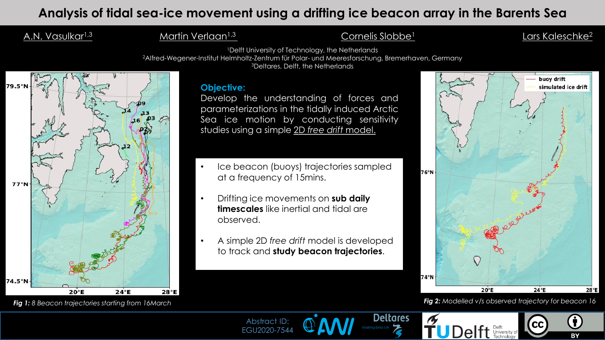# Analysis of tidal sea-ice movement using a drifting ice beacon array in the Barents Sea

# A.N. Vasulkar<sup>1,3</sup> <u>Martin Verlaan<sup>1,3</sup> Cornelis Slobbe<sup>1</sup> Lars Kaleschke<sup>2</sup></u>

<sup>1</sup>Delft University of Technology, the Netherlands

<sup>2</sup>Alfred-Wegener-Institut Helmholtz-Zentrum für Polar- und Meeresforschung, Bremerhaven, Germany

<sup>3</sup>Deltares, Delft, the Netherlands

#### **Objective:**

Develop the understanding of forces and parameterizations in the tidally induced Arctic Sea ice motion by conducting sensitivity studies using a simple 2D *free drift* model.

- Ice beacon (buoys) trajectories sampled at a frequency of 15mins.
- Drifting ice movements on **sub daily timescales** like inertial and tidal are observed.
- A simple 2D *free drift* model is developed to track and **study beacon trajectories**.



#### *Fig 1: 8 Beacon trajectories starting from 16March Fig 2: Modelled v/s observed trajectory for beacon 16*

**BY** 



Abstract ID: EGU2020-7544 Presenting Author :Amey Vasulkar



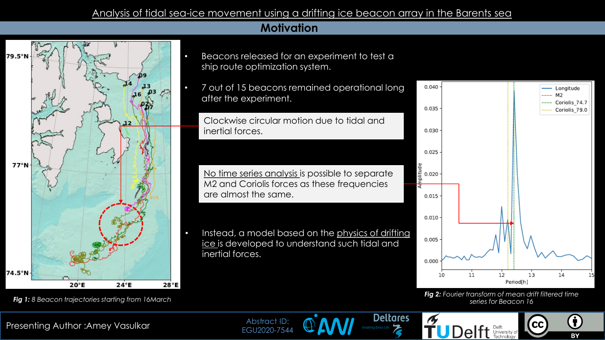#### Analysis of tidal sea-ice movement using a drifting ice beacon array in the Barents sea

## **Motivation**



- Beacons released for an experiment to test a ship route optimization system.
- 7 out of 15 beacons remained operational long after the experiment.

Clockwise circular motion due to tidal and inertial forces.

No time series analysis is possible to separate M2 and Coriolis forces as these frequencies are almost the same.

Instead, a model based on the physics of drifting ice is developed to understand such tidal and inertial forces.

**Deltares** 



*Fig 2: Fourier transform of mean drift filtered time series for Beacon 16*

 $cc$ 

**TUDelft** Delft Delft Iniversity of



*Fig 1: 8 Beacon trajectories starting from 16March*

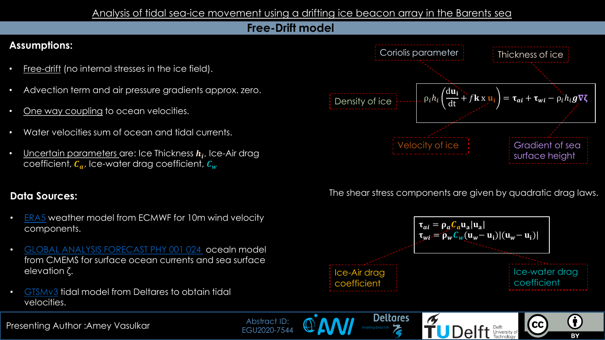#### Analysis of tidal sea-ice movement using a drifting ice beacon array in the Barents sea

### **Free-Drift model**

# **Assumptions:**

- Free-drift (no internal stresses in the ice field).
- Advection term and air pressure gradients approx. zero.
- One way coupling to ocean velocities.
- Water velocities sum of ocean and tidal currents.
- $\bullet$  Uncertain parameters are: Ice Thickness  $h_i$ , Ice-Air drag coefficient,  $C_a$ , Ice-water drag coefficient,  $C_w$

## **Data Sources:**

- [ERA5](https://www.ecmwf.int/en/forecasts/datasets/reanalysis-datasets/era5) weather model from ECMWF for 10m wind velocity components.
- [GLOBAL ANALYSIS FORECAST PHY 001 024](https://resources.marine.copernicus.eu/?option=com_csw&view=details&product_id=GLOBAL_ANALYSIS_FORECAST_PHY_001_024) ocealn model from CMEMS for surface ocean currents and sea surface elevation ζ.
- [GTSMv3](https://www.deltares.nl/en/projects/global-storm-surge-information-system-glossis/) tidal model from Deltares to obtain tidal velocities.



The shear stress components are given by quadratic drag laws.



**TUDelft** Defited Internative of

 $cc$ 

**Deltares** 

**Presenting Author :Amey Vasulkar Magnus Author : Amery Vasulkar Magnus Apsilaci iD.**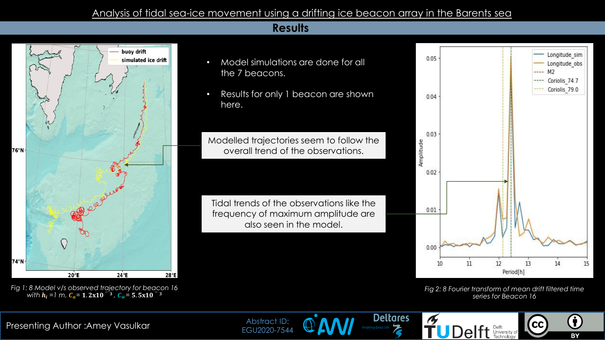#### Analysis of tidal sea-ice movement using a drifting ice beacon array in the Barents sea

#### **Results**







• Results for only 1 beacon are shown here.

Modelled trajectories seem to follow the overall trend of the observations.

Tidal trends of the observations like the frequency of maximum amplitude are also seen in the model.



*Fig 2: 8 Fourier transform of mean drift filtered time series for Beacon 16*

**CC** 

**BY** 

**FUDelft** Delft Delft Technology

**Deltares**